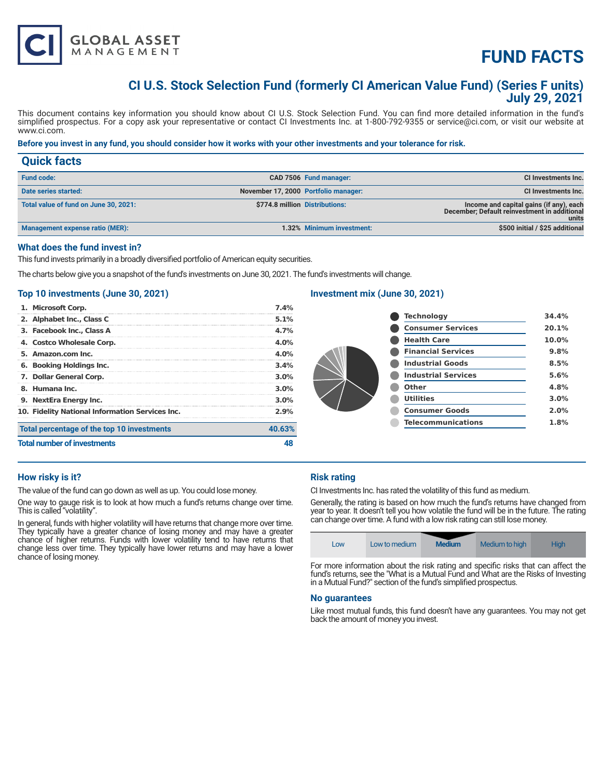

# **FUND FACTS**

# **CI U.S. Stock Selection Fund (formerly CI American Value Fund) (Series F units) July 29, 2021**

This document contains key information you should know about CI U.S. Stock Selection Fund. You can find more detailed information in the fund's simplified prospectus. For a copy ask your representative or contact CI Investments Inc. at 1-800-792-9355 or service@ci.com, or visit our website at www.ci.com.

# **Before you invest in any fund, you should consider how it works with your other investments and your tolerance for risk.**

| <b>Quick facts</b>                     |                                      |                                                                                                  |
|----------------------------------------|--------------------------------------|--------------------------------------------------------------------------------------------------|
| <b>Fund code:</b>                      | CAD 7506 Fund manager:               | CI Investments Inc.                                                                              |
| Date series started:                   | November 17, 2000 Portfolio manager: | CI Investments Inc.                                                                              |
| Total value of fund on June 30, 2021:  | \$774.8 million Distributions:       | Income and capital gains (if any), each<br>December; Default reinvestment in additional<br>units |
| <b>Management expense ratio (MER):</b> | 1.32% Minimum investment:            | \$500 initial / \$25 additional                                                                  |

#### **What does the fund invest in?**

This fund invests primarily in a broadly diversified portfolio of American equity securities.

The charts below give you a snapshot of the fund's investments on June 30, 2021. The fund's investments will change.

# **Top 10 investments (June 30, 2021)**

| <b>Total number of investments</b> |                                                 |         |
|------------------------------------|-------------------------------------------------|---------|
|                                    | Total percentage of the top 10 investments      | 40.63%  |
|                                    | 10. Fidelity National Information Services Inc. | 2.9%    |
|                                    | 9. NextEra Energy Inc.                          | $3.0\%$ |
|                                    | 8. Humana Inc.                                  | $3.0\%$ |
|                                    | 7. Dollar General Corp.                         | $3.0\%$ |
|                                    | 6. Booking Holdings Inc.                        | 3.4%    |
|                                    | 5. Amazon.com Inc.                              | $4.0\%$ |
|                                    | 4. Costco Wholesale Corp.                       | $4.0\%$ |
|                                    | 3. Facebook Inc., Class A                       | 4.7%    |
|                                    | 2. Alphabet Inc., Class C                       | 5.1%    |
|                                    | 1. Microsoft Corp.                              | 7.4%    |

# **Investment mix (June 30, 2021)**

| <b>Technology</b>          | 34.4% |
|----------------------------|-------|
| <b>Consumer Services</b>   | 20.1% |
| <b>Health Care</b>         | 10.0% |
| <b>Financial Services</b>  | 9.8%  |
| <b>Industrial Goods</b>    | 8.5%  |
| <b>Industrial Services</b> | 5.6%  |
| Other                      | 4.8%  |
| <b>Utilities</b>           | 3.0%  |
| <b>Consumer Goods</b>      | 2.0%  |
| <b>Telecommunications</b>  | 1.8%  |
|                            |       |

#### **How risky is it?**

The value of the fund can go down as well as up. You could lose money.

One way to gauge risk is to look at how much a fund's returns change over time. This is called "volatility".

In general, funds with higher volatility will have returns that change more over time. They typically have a greater chance of losing money and may have a greater chance of higher returns. Funds with lower volatility tend to have returns that change less over time. They typically have lower returns and may have a lower chance of losing money.

# **Risk rating**

CI Investments Inc. has rated the volatility of this fund as medium.

Generally, the rating is based on how much the fund's returns have changed from year to year. It doesn't tell you how volatile the fund will be in the future. The rating can change over time. A fund with a low risk rating can still lose money.

| LOW | Low to medium | <b>Medium</b> | Medium to high | <b>High</b> |
|-----|---------------|---------------|----------------|-------------|
|-----|---------------|---------------|----------------|-------------|

For more information about the risk rating and specific risks that can affect the fund's returns, see the "What is a Mutual Fund and What are the Risks of Investing in a Mutual Fund?" section of the fund's simplified prospectus.

#### **No guarantees**

Like most mutual funds, this fund doesn't have any guarantees. You may not get back the amount of money you invest.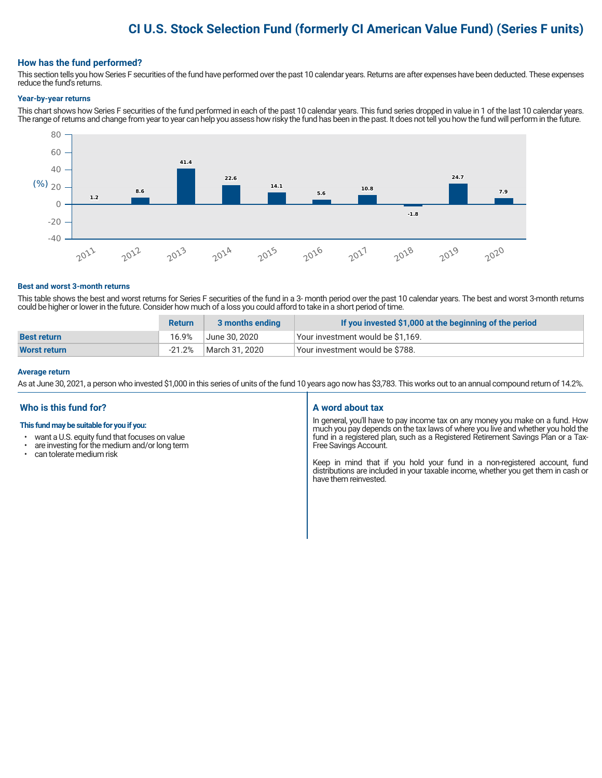# **CI U.S. Stock Selection Fund (formerly CI American Value Fund) (Series F units)**

# **How has the fund performed?**

This section tells you how Series F securities of the fund have performed over the past 10 calendar years. Returns are after expenses have been deducted. These expenses reduce the fund's returns.

#### **Year-by-year returns**

This chart shows how Series F securities of the fund performed in each of the past 10 calendar years. This fund series dropped in value in 1 of the last 10 calendar years. The range of returns and change from year to year can help you assess how risky the fund has been in the past. It does not tell you how the fund will perform in the future.



#### **Best and worst 3-month returns**

This table shows the best and worst returns for Series F securities of the fund in a 3- month period over the past 10 calendar years. The best and worst 3-month returns could be higher or lower in the future. Consider how much of a loss you could afford to take in a short period of time.

|                     | <b>Return</b> | 3 months ending | If you invested \$1,000 at the beginning of the period |
|---------------------|---------------|-----------------|--------------------------------------------------------|
| <b>Best return</b>  | 16.9%         | June 30, 2020   | Your investment would be \$1,169.                      |
| <b>Worst return</b> | $-21.2\%$     | March 31, 2020  | Your investment would be \$788.                        |

#### **Average return**

As at June 30, 2021, a person who invested \$1,000 in this series of units of the fund 10 years ago now has \$3,783. This works out to an annual compound return of 14.2%.

# **Who is this fund for?**

#### **This fund may be suitable for you if you:**

- want a U.S. equity fund that focuses on value
- $\cdot$  are investing for the medium and/or long term<br> $\cdot$  can telerate medium risk
- can tolerate medium risk

# **A word about tax**

In general, you'll have to pay income tax on any money you make on a fund. How much you pay depends on the tax laws of where you live and whether you hold the fund in a registered plan, such as a Registered Retirement Savings Plan or a Tax-Free Savings Account.

Keep in mind that if you hold your fund in a non-registered account, fund distributions are included in your taxable income, whether you get them in cash or have them reinvested.